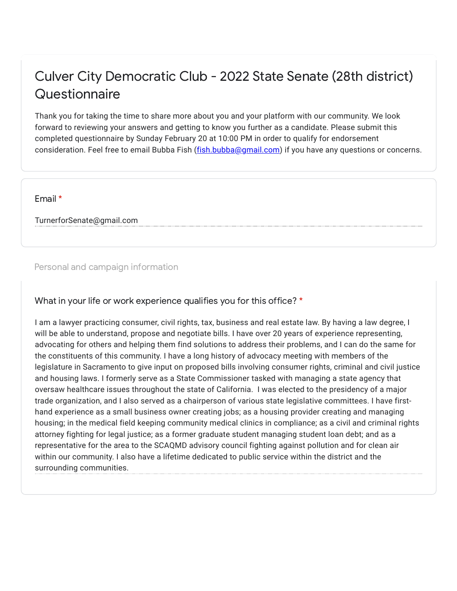## Culver City Democratic Club - 2022 State Senate (28th district) **Questionnaire**

Thank you for taking the time to share more about you and your platform with our community. We look forward to reviewing your answers and getting to know you further as a candidate. Please submit this completed questionnaire by Sunday February 20 at 10:00 PM in order to qualify for endorsement consideration. Feel free to email Bubba Fish (*fish.bubba@gmail.com*) if you have any questions or concerns.

Email \*

TurnerforSenate@gmail.com

## Personal and campaign information

## What in your life or work experience qualifies you for this office? \*

I am a lawyer practicing consumer, civil rights, tax, business and real estate law. By having a law degree, I will be able to understand, propose and negotiate bills. I have over 20 years of experience representing, advocating for others and helping them find solutions to address their problems, and I can do the same for the constituents of this community. I have a long history of advocacy meeting with members of the legislature in Sacramento to give input on proposed bills involving consumer rights, criminal and civil justice and housing laws. I formerly serve as a State Commissioner tasked with managing a state agency that oversaw healthcare issues throughout the state of California. I was elected to the presidency of a major trade organization, and I also served as a chairperson of various state legislative committees. I have firsthand experience as a small business owner creating jobs; as a housing provider creating and managing housing; in the medical field keeping community medical clinics in compliance; as a civil and criminal rights attorney fighting for legal justice; as a former graduate student managing student loan debt; and as a representative for the area to the SCAQMD advisory council fighting against pollution and for clean air within our community. I also have a lifetime dedicated to public service within the district and the surrounding communities.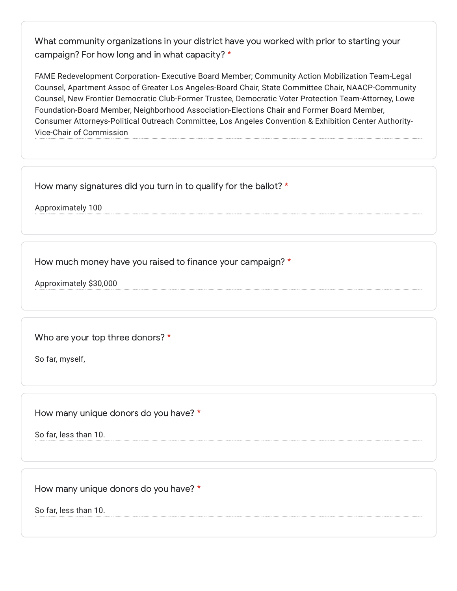What community organizations in your district have you worked with prior to starting your campaign? For how long and in what capacity? \*

FAME Redevelopment Corporation- Executive Board Member; Community Action Mobilization Team-Legal Counsel, Apartment Assoc of Greater Los Angeles-Board Chair, State Committee Chair, NAACP-Community Counsel, New Frontier Democratic Club-Former Trustee, Democratic Voter Protection Team-Attorney, Lowe Foundation-Board Member, Neighborhood Association-Elections Chair and Former Board Member, Consumer Attorneys-Political Outreach Committee, Los Angeles Convention & Exhibition Center Authority-Vice-Chair of Commission

How many signatures did you turn in to qualify for the ballot? \*

Approximately 100

How much money have you raised to finance your campaign? \*

Approximately \$30,000

Who are your top three donors? \*

So far, myself,

How many unique donors do you have? \*

So far, less than 10.

How many unique donors do you have? \*

So far, less than 10.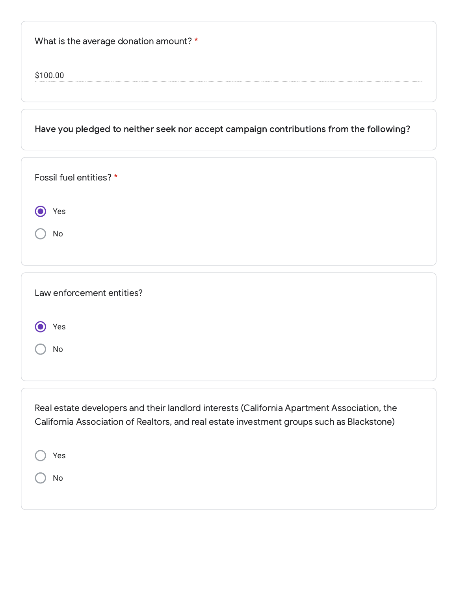What is the average donation amount? \*

\$100.00

Have you pledged to neither seek nor accept campaign contributions from the following?

| Fossil fuel entities? * |  |  |
|-------------------------|--|--|
| Yes                     |  |  |
| No                      |  |  |

| Law enforcement entities? |  |  |
|---------------------------|--|--|
| Yes                       |  |  |
| No                        |  |  |
|                           |  |  |
|                           |  |  |

Real estate developers and their landlord interests (California Apartment Association, the California Association of Realtors, and real estate investment groups such as Blackstone)

Yes No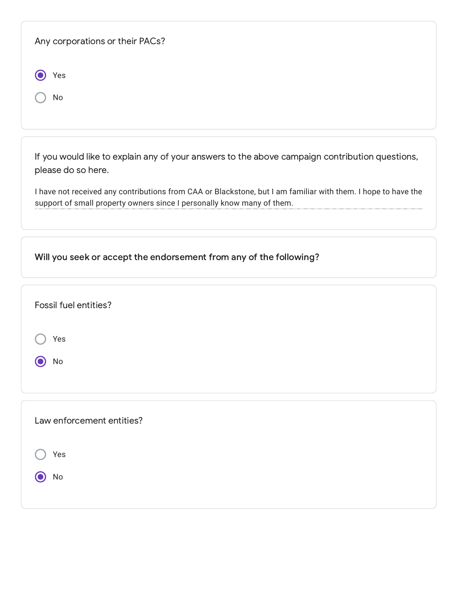| Any corporations or their PACs?                                                                                                                                                         |
|-----------------------------------------------------------------------------------------------------------------------------------------------------------------------------------------|
| Yes                                                                                                                                                                                     |
| No                                                                                                                                                                                      |
|                                                                                                                                                                                         |
| If you would like to explain any of your answers to the above campaign contribution questions,<br>please do so here.                                                                    |
| I have not received any contributions from CAA or Blackstone, but I am familiar with them. I hope to have the<br>support of small property owners since I personally know many of them. |
| Will you seek or accept the endorsement from any of the following?                                                                                                                      |
|                                                                                                                                                                                         |
| Fossil fuel entities?                                                                                                                                                                   |
| Yes                                                                                                                                                                                     |
| No                                                                                                                                                                                      |
|                                                                                                                                                                                         |
| Law enforcement entities?                                                                                                                                                               |
| Yes                                                                                                                                                                                     |
| No                                                                                                                                                                                      |
|                                                                                                                                                                                         |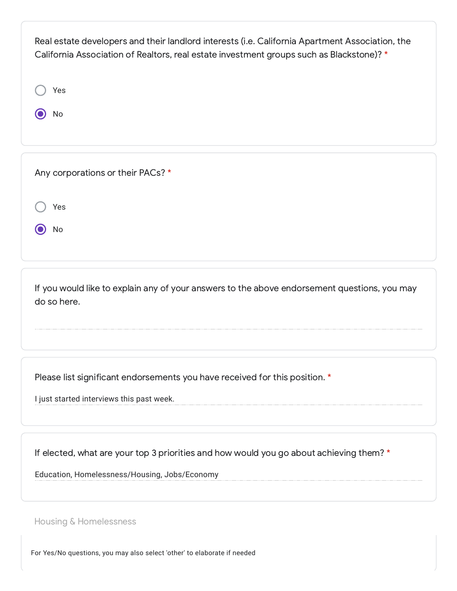| Real estate developers and their landlord interests (i.e. California Apartment Association, the<br>California Association of Realtors, real estate investment groups such as Blackstone)? * |  |
|---------------------------------------------------------------------------------------------------------------------------------------------------------------------------------------------|--|
| Yes                                                                                                                                                                                         |  |
| No                                                                                                                                                                                          |  |
|                                                                                                                                                                                             |  |

| Any corporations or their PACs? * |
|-----------------------------------|
|-----------------------------------|

|  | × |
|--|---|
|  |   |

 $\odot$  No

If you would like to explain any of your answers to the above endorsement questions, you may do so here.

Please list significant endorsements you have received for this position. \*

I just started interviews this past week.

If elected, what are your top 3 priorities and how would you go about achieving them? \*

Education, Homelessness/Housing, Jobs/Economy

Housing & Homelessness

For Yes/No questions, you may also select 'other' to elaborate if needed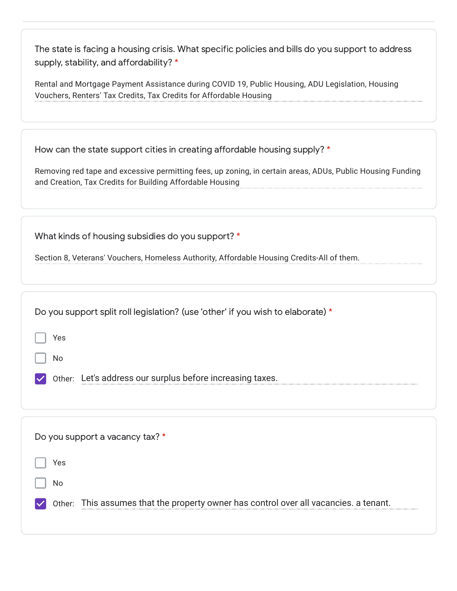The state is facing a housing crisis. What specific policies and bills do you support to address supply, stability, and affordability? \*

Rental and Mortgage Payment Assistance during COVID 19, Public Housing, ADU Legislation, Housing Vouchers, Renters' Tax Credits, Tax Credits for Affordable Housing

| How can the state support cities in creating affordable housing supply? * |  |  |
|---------------------------------------------------------------------------|--|--|
|                                                                           |  |  |

Removing red tape and excessive permitting fees, up zoning, in certain areas, ADUs, Public Housing Funding and Creation, Tax Credits for Building Affordable Housing

What kinds of housing subsidies do you support? \*

Section 8, Veterans' Vouchers, Homeless Authority, Affordable Housing Credits-All of them.

| Do you support split roll legislation? (use 'other' if you wish to elaborate) *          |
|------------------------------------------------------------------------------------------|
| Yes                                                                                      |
| No                                                                                       |
| Other: Let's address our surplus before increasing taxes.                                |
|                                                                                          |
|                                                                                          |
| Do you support a vacancy tax? *                                                          |
| Yes                                                                                      |
| No                                                                                       |
| This assumes that the property owner has control over all vacancies. a tenant.<br>Other: |
|                                                                                          |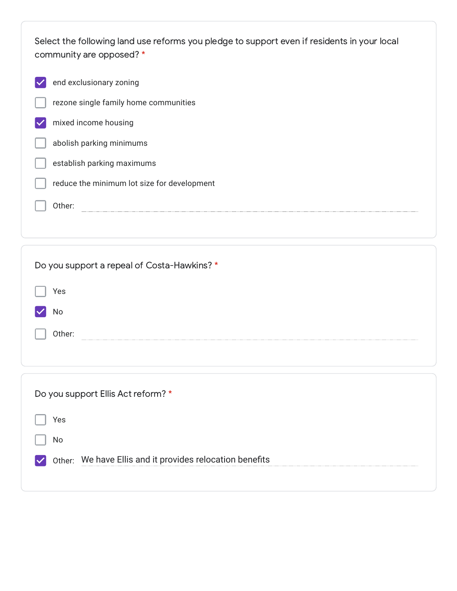Select the following land use reforms you pledge to support even if residents in your local community are opposed? \*

| end exclusionary zoning                     |
|---------------------------------------------|
| rezone single family home communities       |
| mixed income housing                        |
| abolish parking minimums                    |
| establish parking maximums                  |
| reduce the minimum lot size for development |
| Other:                                      |
|                                             |
|                                             |
|                                             |
| Do you support a repeal of Costa-Hawkins? * |
| Yes                                         |
| No                                          |
| Other:                                      |
|                                             |
|                                             |

| Do you support Ellis Act reform? *                       |
|----------------------------------------------------------|
| Yes                                                      |
| No.                                                      |
| Other: We have Ellis and it provides relocation benefits |
|                                                          |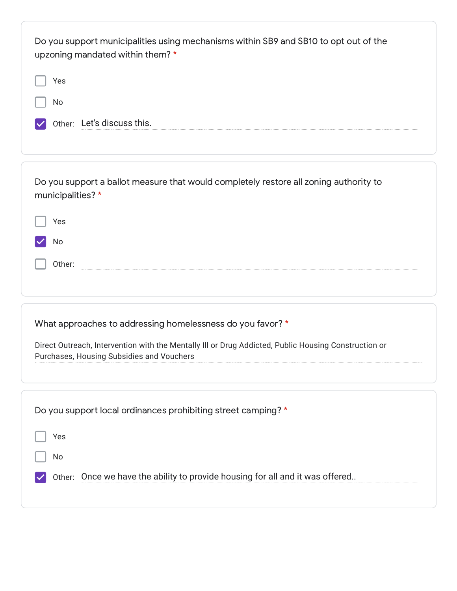| Do you support municipalities using mechanisms within SB9 and SB10 to opt out of the<br>upzoning mandated within them? *<br>Yes<br>No<br>Other: Let's discuss this.                                             |
|-----------------------------------------------------------------------------------------------------------------------------------------------------------------------------------------------------------------|
| Do you support a ballot measure that would completely restore all zoning authority to<br>municipalities?*<br>Yes<br>No<br>Other:                                                                                |
| What approaches to addressing homelessness do you favor? *<br>Direct Outreach, Intervention with the Mentally III or Drug Addicted, Public Housing Construction or<br>Purchases, Housing Subsidies and Vouchers |
| Do you support local ordinances prohibiting street camping? *<br>Yes<br>No<br>Other: Once we have the ability to provide housing for all and it was offered                                                     |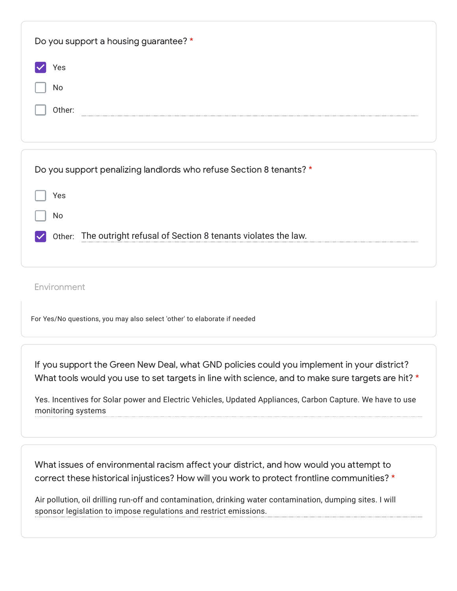| Do you support a housing guarantee? *                               |
|---------------------------------------------------------------------|
| Yes                                                                 |
| No                                                                  |
| Other:                                                              |
|                                                                     |
| Do you support penalizing landlords who refuse Section 8 tenants? * |
| Yes                                                                 |
| No                                                                  |
| Other: The outright refusal of Section 8 tenants violates the law.  |

Environment

For Yes/No questions, you may also select 'other' to elaborate if needed

If you support the Green New Deal, what GND policies could you implement in your district? What tools would you use to set targets in line with science, and to make sure targets are hit? \*

Yes. Incentives for Solar power and Electric Vehicles, Updated Appliances, Carbon Capture. We have to use monitoring systems

What issues of environmental racism affect your district, and how would you attempt to correct these historical injustices? How will you work to protect frontline communities? \*

Air pollution, oil drilling run-off and contamination, drinking water contamination, dumping sites. I will sponsor legislation to impose regulations and restrict emissions.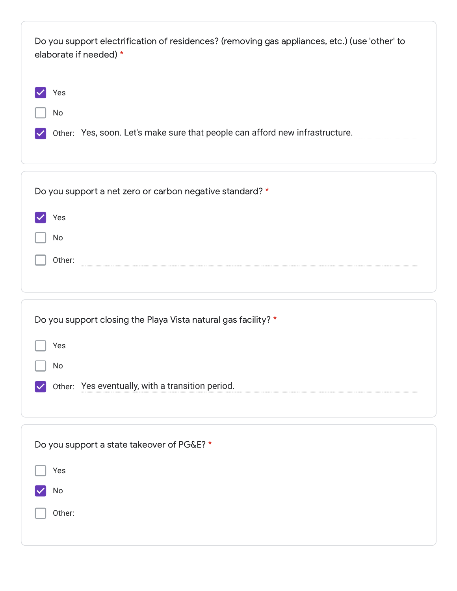| Do you support electrification of residences? (removing gas appliances, etc.) (use 'other' to<br>elaborate if needed) * |  |  |
|-------------------------------------------------------------------------------------------------------------------------|--|--|
| Yes                                                                                                                     |  |  |
| No                                                                                                                      |  |  |
| Other: Yes, soon. Let's make sure that people can afford new infrastructure.                                            |  |  |
|                                                                                                                         |  |  |

| Do you support a net zero or carbon negative standard? * |
|----------------------------------------------------------|
| Yes                                                      |
| No                                                       |
| Other:                                                   |
|                                                          |

| Do you support closing the Playa Vista natural gas facility? * |
|----------------------------------------------------------------|
| Yes                                                            |
| No                                                             |
| Other: Yes eventually, with a transition period.               |
|                                                                |

| Do you support a state takeover of PG&E? * |
|--------------------------------------------|
| Yes                                        |
| No                                         |
| Other:                                     |
|                                            |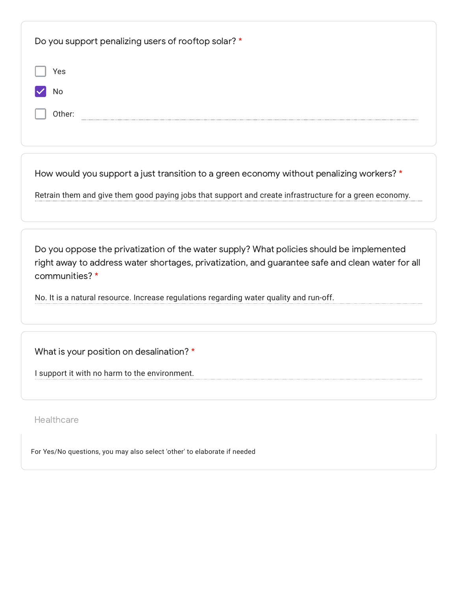| Do you support penalizing users of rooftop solar? * |
|-----------------------------------------------------|
| Yes                                                 |
| No                                                  |
| Other:                                              |
|                                                     |

How would you support a just transition to a green economy without penalizing workers? \*

Retrain them and give them good paying jobs that support and create infrastructure for a green economy.

Do you oppose the privatization of the water supply? What policies should be implemented right away to address water shortages, privatization, and guarantee safe and clean water for all communities? \*

No. It is a natural resource. Increase regulations regarding water quality and run-off.

What is your position on desalination? \*

I support it with no harm to the environment.

**Healthcare** 

For Yes/No questions, you may also select 'other' to elaborate if needed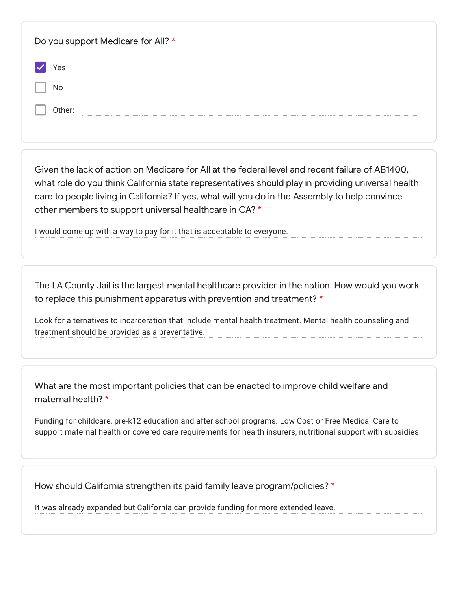| Do you support Medicare for All? * |  |
|------------------------------------|--|
| Yes                                |  |
| No                                 |  |
| Other:                             |  |

Given the lack of action on Medicare for All at the federal level and recent failure of AB1400, what role do you think California state representatives should play in providing universal health care to people living in California? If yes, what will you do in the Assembly to help convince other members to support universal healthcare in CA? \*

I would come up with a way to pay for it that is acceptable to everyone.

The LA County Jail is the largest mental healthcare provider in the nation. How would you work to replace this punishment apparatus with prevention and treatment? \*

Look for alternatives to incarceration that include mental health treatment. Mental health counseling and treatment should be provided as a preventative.

What are the most important policies that can be enacted to improve child welfare and maternal health? \*

Funding for childcare, pre-k12 education and after school programs. Low Cost or Free Medical Care to support maternal health or covered care requirements for health insurers, nutritional support with subsidies

How should California strengthen its paid family leave program/policies? \*

It was already expanded but California can provide funding for more extended leave.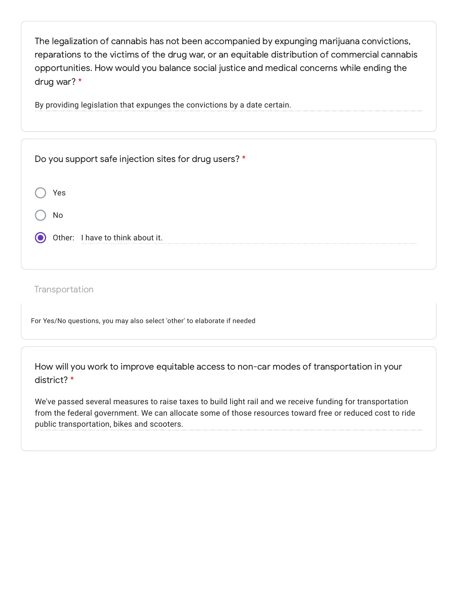The legalization of cannabis has not been accompanied by expunging marijuana convictions, reparations to the victims of the drug war, or an equitable distribution of commercial cannabis opportunities. How would you balance social justice and medical concerns while ending the drug war? \*

By providing legislation that expunges the convictions by a date certain.

| Do you support safe injection sites for drug users? * |
|-------------------------------------------------------|
| Yes                                                   |
| No                                                    |
| Other: I have to think about it.                      |
|                                                       |

**Transportation** 

For Yes/No questions, you may also select 'other' to elaborate if needed

How will you work to improve equitable access to non-car modes of transportation in your district? \*

We've passed several measures to raise taxes to build light rail and we receive funding for transportation from the federal government. We can allocate some of those resources toward free or reduced cost to ride public transportation, bikes and scooters.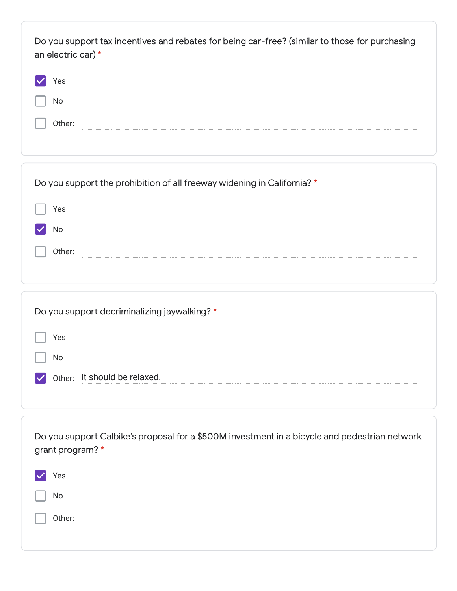| Do you support tax incentives and rebates for being car-free? (similar to those for purchasing<br>an electric car) * |  |
|----------------------------------------------------------------------------------------------------------------------|--|
| 'es                                                                                                                  |  |
| No.                                                                                                                  |  |
| Other:                                                                                                               |  |
|                                                                                                                      |  |

| Do you support the prohibition of all freeway widening in California? * |  |
|-------------------------------------------------------------------------|--|
| Yes                                                                     |  |
| No                                                                      |  |
| Other:                                                                  |  |
|                                                                         |  |
|                                                                         |  |
| Do you support decriminalizing jaywalking? *                            |  |
| Yes                                                                     |  |

Other: It should be relaxed.

No

| Do you support Calbike's proposal for a \$500M investment in a bicycle and pedestrian network<br>grant program? * |
|-------------------------------------------------------------------------------------------------------------------|
| Yes                                                                                                               |
| No                                                                                                                |
| Other:<br>----------------------                                                                                  |
|                                                                                                                   |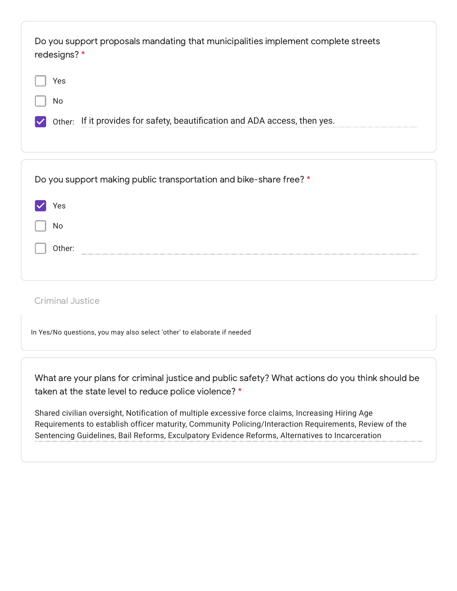| Do you support proposals mandating that municipalities implement complete streets<br>redesigns? * |  |  |
|---------------------------------------------------------------------------------------------------|--|--|
| Yes                                                                                               |  |  |
| No                                                                                                |  |  |
| Other: If it provides for safety, beautification and ADA access, then yes.                        |  |  |
|                                                                                                   |  |  |

|        | Do you support making public transportation and bike-share free? * |
|--------|--------------------------------------------------------------------|
| Yes    |                                                                    |
| No     |                                                                    |
| Other: |                                                                    |
|        |                                                                    |

Criminal Justice

In Yes/No questions, you may also select 'other' to elaborate if needed

What are your plans for criminal justice and public safety? What actions do you think should be taken at the state level to reduce police violence? \*

Shared civilian oversight, Notification of multiple excessive force claims, Increasing Hiring Age Requirements to establish officer maturity, Community Policing/Interaction Requirements, Review of the Sentencing Guidelines, Bail Reforms, Exculpatory Evidence Reforms, Alternatives to Incarceration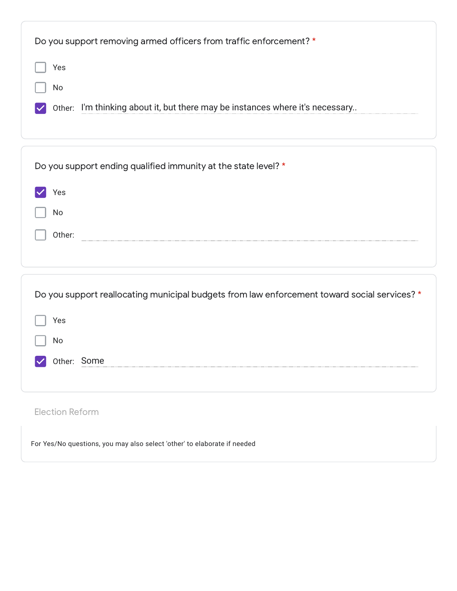| Do you support removing armed officers from traffic enforcement? *                           |
|----------------------------------------------------------------------------------------------|
| Yes                                                                                          |
| No                                                                                           |
| Other: I'm thinking about it, but there may be instances where it's necessary                |
|                                                                                              |
|                                                                                              |
| Do you support ending qualified immunity at the state level? *                               |
| Yes                                                                                          |
| No                                                                                           |
| Other:                                                                                       |
|                                                                                              |
|                                                                                              |
| Do you support reallocating municipal budgets from law enforcement toward social services? * |
| Yes                                                                                          |

| $\vert$   No |                    |
|--------------|--------------------|
|              | $\vee$ Other: Some |

## Election Reform

For Yes/No questions, you may also select 'other' to elaborate if needed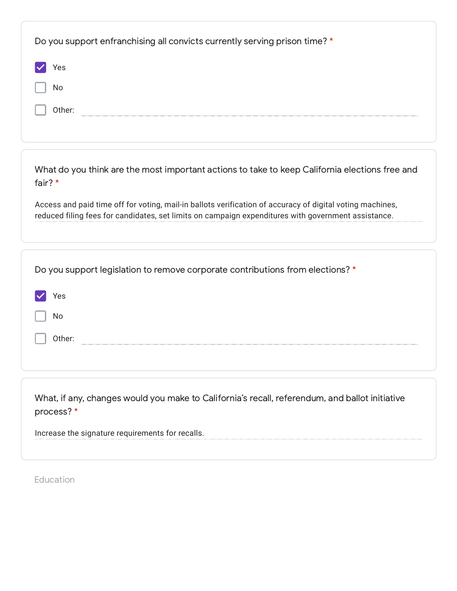| Do you support enfranchising all convicts currently serving prison time? *                                   |
|--------------------------------------------------------------------------------------------------------------|
| Yes                                                                                                          |
| No                                                                                                           |
| Other:                                                                                                       |
|                                                                                                              |
|                                                                                                              |
| What do you think are the most important actions to take to keep California elections free and<br>fair? *    |
| Access and paid time off for voting, mail-in ballots verification of accuracy of digital voting machines,    |
| reduced filing fees for candidates, set limits on campaign expenditures with government assistance.          |
|                                                                                                              |
| Do you support legislation to remove corporate contributions from elections? *                               |
| Yes                                                                                                          |
| No                                                                                                           |
| Other:                                                                                                       |
|                                                                                                              |
|                                                                                                              |
| What, if any, changes would you make to California's recall, referendum, and ballot initiative<br>process? * |
| Increase the signature requirements for recalls.                                                             |

Education